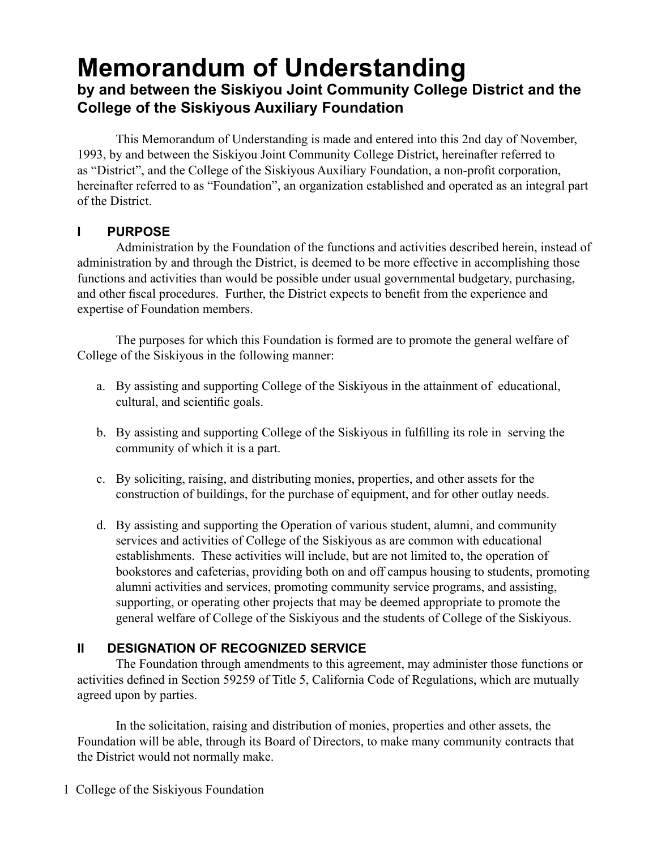# **Memorandum of Understanding by and between the Siskiyou Joint Community College District and the College of the Siskiyous Auxiliary Foundation**

This Memorandum of Understanding is made and entered into this 2nd day of November, 1993, by and between the Siskiyou Joint Community College District, hereinafter referred to as "District", and the College of the Siskiyous Auxiliary Foundation, a non-profit corporation, hereinafter referred to as "Foundation", an organization established and operated as an integral part of the District.

# **I Purpose**

Administration by the Foundation of the functions and activities described herein, instead of administration by and through the District, is deemed to be more effective in accomplishing those functions and activities than would be possible under usual governmental budgetary, purchasing, and other fiscal procedures. Further, the District expects to benefit from the experience and expertise of Foundation members.

The purposes for which this Foundation is formed are to promote the general welfare of College of the Siskiyous in the following manner:

- a. By assisting and supporting College of the Siskiyous in the attainment of educational, cultural, and scientific goals.
- b. By assisting and supporting College of the Siskiyous in fulfilling its role in serving the community of which it is a part.
- c. By soliciting, raising, and distributing monies, properties, and other assets for the construction of buildings, for the purchase of equipment, and for other outlay needs.
- d. By assisting and supporting the Operation of various student, alumni, and community services and activities of College of the Siskiyous as are common with educational establishments. These activities will include, but are not limited to, the operation of bookstores and cafeterias, providing both on and off campus housing to students, promoting alumni activities and services, promoting community service programs, and assisting, supporting, or operating other projects that may be deemed appropriate to promote the general welfare of College of the Siskiyous and the students of College of the Siskiyous.

# **II Designation of Recognized Service**

The Foundation through amendments to this agreement, may administer those functions or activities defined in Section 59259 of Title 5, California Code of Regulations, which are mutually agreed upon by parties.

In the solicitation, raising and distribution of monies, properties and other assets, the Foundation will be able, through its Board of Directors, to make many community contracts that the District would not normally make.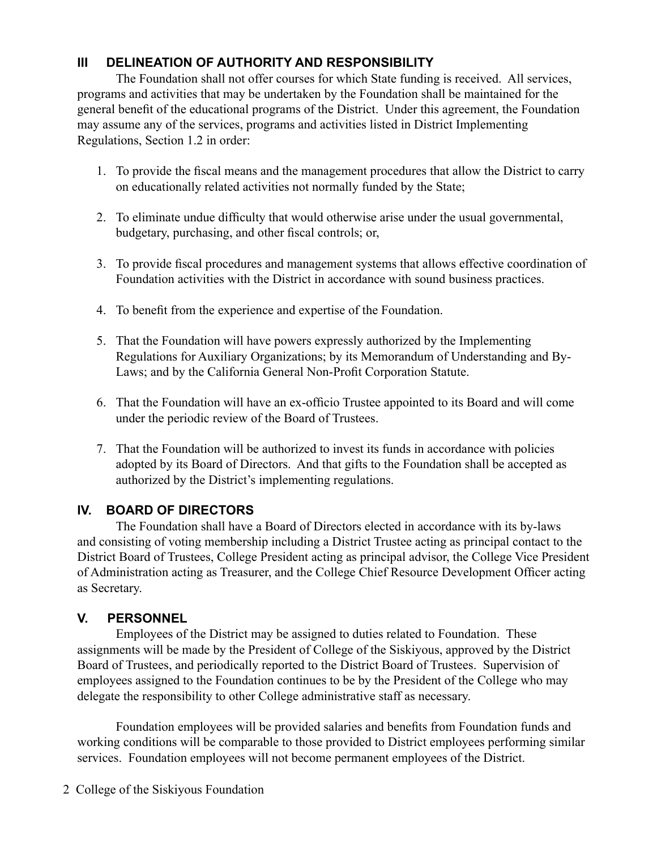# **III Delineation of Authority and Responsibility**

The Foundation shall not offer courses for which State funding is received. All services, programs and activities that may be undertaken by the Foundation shall be maintained for the general benefit of the educational programs of the District. Under this agreement, the Foundation may assume any of the services, programs and activities listed in District Implementing Regulations, Section 1.2 in order:

- 1. To provide the fiscal means and the management procedures that allow the District to carry on educationally related activities not normally funded by the State;
- 2. To eliminate undue difficulty that would otherwise arise under the usual governmental, budgetary, purchasing, and other fiscal controls; or,
- 3. To provide fiscal procedures and management systems that allows effective coordination of Foundation activities with the District in accordance with sound business practices.
- 4. To benefit from the experience and expertise of the Foundation.
- 5. That the Foundation will have powers expressly authorized by the Implementing Regulations for Auxiliary Organizations; by its Memorandum of Understanding and By-Laws; and by the California General Non-Profit Corporation Statute.
- 6. That the Foundation will have an ex-officio Trustee appointed to its Board and will come under the periodic review of the Board of Trustees.
- 7. That the Foundation will be authorized to invest its funds in accordance with policies adopted by its Board of Directors. And that gifts to the Foundation shall be accepted as authorized by the District's implementing regulations.

## **IV. Board of Directors**

The Foundation shall have a Board of Directors elected in accordance with its by-laws and consisting of voting membership including a District Trustee acting as principal contact to the District Board of Trustees, College President acting as principal advisor, the College Vice President of Administration acting as Treasurer, and the College Chief Resource Development Officer acting as Secretary.

## **V. Personnel**

Employees of the District may be assigned to duties related to Foundation. These assignments will be made by the President of College of the Siskiyous, approved by the District Board of Trustees, and periodically reported to the District Board of Trustees. Supervision of employees assigned to the Foundation continues to be by the President of the College who may delegate the responsibility to other College administrative staff as necessary.

Foundation employees will be provided salaries and benefits from Foundation funds and working conditions will be comparable to those provided to District employees performing similar services. Foundation employees will not become permanent employees of the District.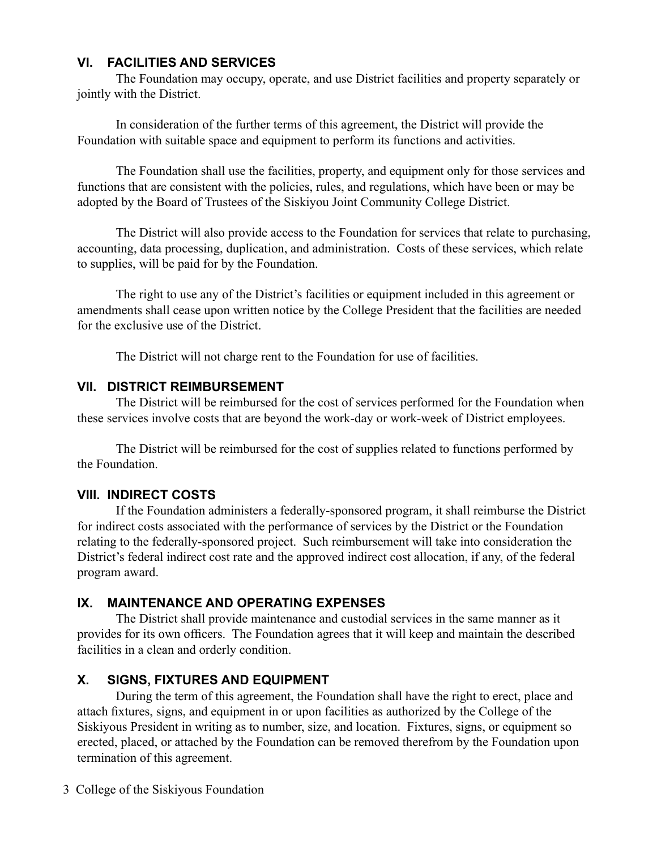#### **VI. Facilities and Services**

The Foundation may occupy, operate, and use District facilities and property separately or jointly with the District.

In consideration of the further terms of this agreement, the District will provide the Foundation with suitable space and equipment to perform its functions and activities.

The Foundation shall use the facilities, property, and equipment only for those services and functions that are consistent with the policies, rules, and regulations, which have been or may be adopted by the Board of Trustees of the Siskiyou Joint Community College District.

The District will also provide access to the Foundation for services that relate to purchasing, accounting, data processing, duplication, and administration. Costs of these services, which relate to supplies, will be paid for by the Foundation.

The right to use any of the District's facilities or equipment included in this agreement or amendments shall cease upon written notice by the College President that the facilities are needed for the exclusive use of the District.

The District will not charge rent to the Foundation for use of facilities.

#### **VII. District Reimbursement**

The District will be reimbursed for the cost of services performed for the Foundation when these services involve costs that are beyond the work-day or work-week of District employees.

The District will be reimbursed for the cost of supplies related to functions performed by the Foundation.

## **VIII. Indirect Costs**

If the Foundation administers a federally-sponsored program, it shall reimburse the District for indirect costs associated with the performance of services by the District or the Foundation relating to the federally-sponsored project. Such reimbursement will take into consideration the District's federal indirect cost rate and the approved indirect cost allocation, if any, of the federal program award.

## **IX. Maintenance and Operating Expenses**

The District shall provide maintenance and custodial services in the same manner as it provides for its own officers. The Foundation agrees that it will keep and maintain the described facilities in a clean and orderly condition.

## **X. Signs, Fixtures and Equipment**

During the term of this agreement, the Foundation shall have the right to erect, place and attach fixtures, signs, and equipment in or upon facilities as authorized by the College of the Siskiyous President in writing as to number, size, and location. Fixtures, signs, or equipment so erected, placed, or attached by the Foundation can be removed therefrom by the Foundation upon termination of this agreement.

3 College of the Siskiyous Foundation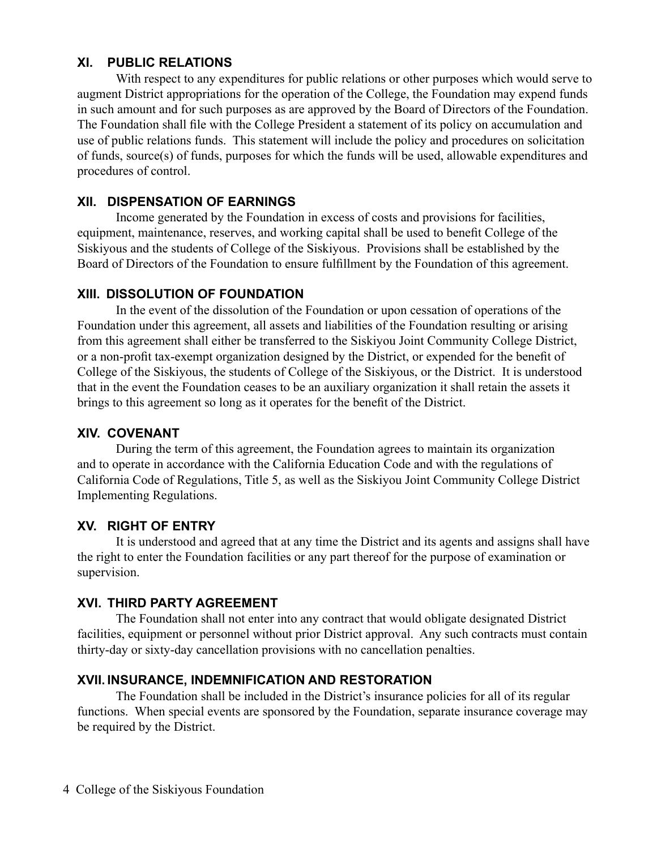#### **XI. Public Relations**

With respect to any expenditures for public relations or other purposes which would serve to augment District appropriations for the operation of the College, the Foundation may expend funds in such amount and for such purposes as are approved by the Board of Directors of the Foundation. The Foundation shall file with the College President a statement of its policy on accumulation and use of public relations funds. This statement will include the policy and procedures on solicitation of funds, source(s) of funds, purposes for which the funds will be used, allowable expenditures and procedures of control.

## **XII. Dispensation of Earnings**

Income generated by the Foundation in excess of costs and provisions for facilities, equipment, maintenance, reserves, and working capital shall be used to benefit College of the Siskiyous and the students of College of the Siskiyous. Provisions shall be established by the Board of Directors of the Foundation to ensure fulfillment by the Foundation of this agreement.

#### **XIII. Dissolution of Foundation**

In the event of the dissolution of the Foundation or upon cessation of operations of the Foundation under this agreement, all assets and liabilities of the Foundation resulting or arising from this agreement shall either be transferred to the Siskiyou Joint Community College District, or a non-profit tax-exempt organization designed by the District, or expended for the benefit of College of the Siskiyous, the students of College of the Siskiyous, or the District. It is understood that in the event the Foundation ceases to be an auxiliary organization it shall retain the assets it brings to this agreement so long as it operates for the benefit of the District.

#### **XIV. Covenant**

During the term of this agreement, the Foundation agrees to maintain its organization and to operate in accordance with the California Education Code and with the regulations of California Code of Regulations, Title 5, as well as the Siskiyou Joint Community College District Implementing Regulations.

## **XV. Right of Entry**

It is understood and agreed that at any time the District and its agents and assigns shall have the right to enter the Foundation facilities or any part thereof for the purpose of examination or supervision.

#### **XVI. Third Party Agreement**

The Foundation shall not enter into any contract that would obligate designated District facilities, equipment or personnel without prior District approval. Any such contracts must contain thirty-day or sixty-day cancellation provisions with no cancellation penalties.

#### **XVII. Insurance, Indemnification and Restoration**

The Foundation shall be included in the District's insurance policies for all of its regular functions. When special events are sponsored by the Foundation, separate insurance coverage may be required by the District.